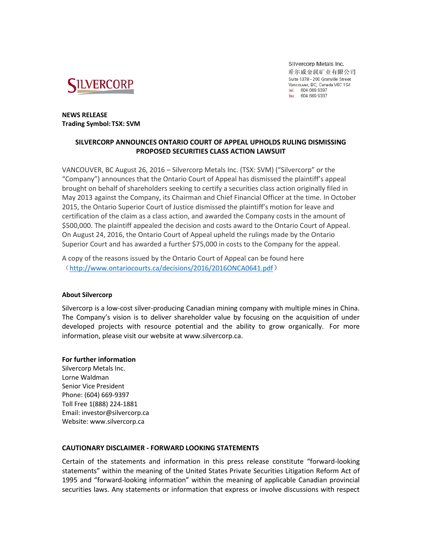

Silvercorp Metals Inc. 希尔威金属矿业有限公司 Suite 1378 - 200 Granville Street Vancouver, BC, Canada V6C 1S4 tel. 604 669 9397 fax. 604 669 9387

**NEWS RELEASE Trading Symbol: TSX: SVM**

## **SILVERCORP ANNOUNCES ONTARIO COURT OF APPEAL UPHOLDS RULING DISMISSING PROPOSED SECURITIES CLASS ACTION LAWSUIT**

VANCOUVER, BC August 26, 2016 – Silvercorp Metals Inc. (TSX: SVM) ("Silvercorp" or the "Company") announces that the Ontario Court of Appeal has dismissed the plaintiff's appeal brought on behalf of shareholders seeking to certify a securities class action originally filed in May 2013 against the Company, its Chairman and Chief Financial Officer at the time. In October 2015, the Ontario Superior Court of Justice dismissed the plaintiff's motion for leave and certification of the claim as a class action, and awarded the Company costs in the amount of \$500,000. The plaintiff appealed the decision and costs award to the Ontario Court of Appeal. On August 24, 2016, the Ontario Court of Appeal upheld the rulings made by the Ontario Superior Court and has awarded a further \$75,000 in costs to the Company for the appeal.

A copy of the reasons issued by the Ontario Court of Appeal can be found here (<http://www.ontariocourts.ca/decisions/2016/2016ONCA0641.pdf>)

## **About Silvercorp**

Silvercorp is a low-cost silver-producing Canadian mining company with multiple mines in China. The Company's vision is to deliver shareholder value by focusing on the acquisition of under developed projects with resource potential and the ability to grow organically. For more information, please visit our website at www.silvercorp.ca.

## **For further information**

Silvercorp Metals Inc. Lorne Waldman Senior Vice President Phone: (604) 669-9397 Toll Free 1(888) 224-1881 Email: investor@silvercorp.ca Website: www.silvercorp.ca

## **CAUTIONARY DISCLAIMER - FORWARD LOOKING STATEMENTS**

Certain of the statements and information in this press release constitute "forward-looking statements" within the meaning of the United States Private Securities Litigation Reform Act of 1995 and "forward-looking information" within the meaning of applicable Canadian provincial securities laws. Any statements or information that express or involve discussions with respect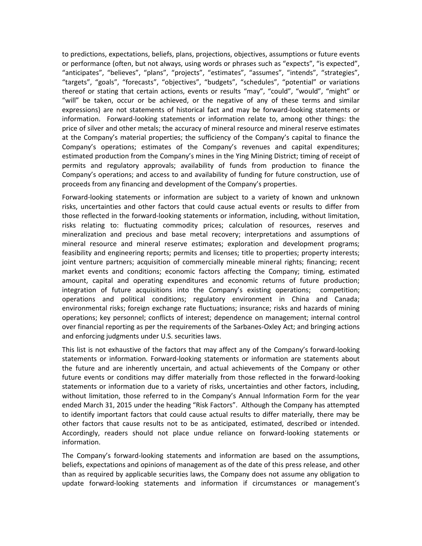to predictions, expectations, beliefs, plans, projections, objectives, assumptions or future events or performance (often, but not always, using words or phrases such as "expects", "is expected", "anticipates", "believes", "plans", "projects", "estimates", "assumes", "intends", "strategies", "targets", "goals", "forecasts", "objectives", "budgets", "schedules", "potential" or variations thereof or stating that certain actions, events or results "may", "could", "would", "might" or "will" be taken, occur or be achieved, or the negative of any of these terms and similar expressions) are not statements of historical fact and may be forward-looking statements or information. Forward-looking statements or information relate to, among other things: the price of silver and other metals; the accuracy of mineral resource and mineral reserve estimates at the Company's material properties; the sufficiency of the Company's capital to finance the Company's operations; estimates of the Company's revenues and capital expenditures; estimated production from the Company's mines in the Ying Mining District; timing of receipt of permits and regulatory approvals; availability of funds from production to finance the Company's operations; and access to and availability of funding for future construction, use of proceeds from any financing and development of the Company's properties.

Forward-looking statements or information are subject to a variety of known and unknown risks, uncertainties and other factors that could cause actual events or results to differ from those reflected in the forward-looking statements or information, including, without limitation, risks relating to: fluctuating commodity prices; calculation of resources, reserves and mineralization and precious and base metal recovery; interpretations and assumptions of mineral resource and mineral reserve estimates; exploration and development programs; feasibility and engineering reports; permits and licenses; title to properties; property interests; joint venture partners; acquisition of commercially mineable mineral rights; financing; recent market events and conditions; economic factors affecting the Company; timing, estimated amount, capital and operating expenditures and economic returns of future production; integration of future acquisitions into the Company's existing operations; competition; operations and political conditions; regulatory environment in China and Canada; environmental risks; foreign exchange rate fluctuations; insurance; risks and hazards of mining operations; key personnel; conflicts of interest; dependence on management; internal control over financial reporting as per the requirements of the Sarbanes-Oxley Act; and bringing actions and enforcing judgments under U.S. securities laws.

This list is not exhaustive of the factors that may affect any of the Company's forward-looking statements or information. Forward-looking statements or information are statements about the future and are inherently uncertain, and actual achievements of the Company or other future events or conditions may differ materially from those reflected in the forward-looking statements or information due to a variety of risks, uncertainties and other factors, including, without limitation, those referred to in the Company's Annual Information Form for the year ended March 31, 2015 under the heading "Risk Factors". Although the Company has attempted to identify important factors that could cause actual results to differ materially, there may be other factors that cause results not to be as anticipated, estimated, described or intended. Accordingly, readers should not place undue reliance on forward-looking statements or information.

The Company's forward-looking statements and information are based on the assumptions, beliefs, expectations and opinions of management as of the date of this press release, and other than as required by applicable securities laws, the Company does not assume any obligation to update forward-looking statements and information if circumstances or management's